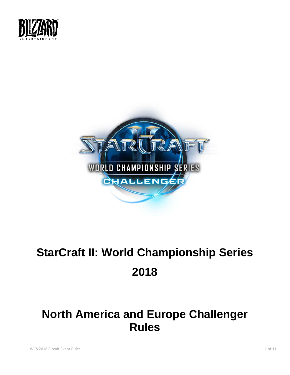



# **StarCraft II: World Championship Series 2018**

## **North America and Europe Challenger Rules**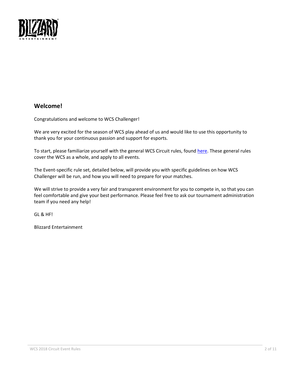

## **Welcome!**

Congratulations and welcome to WCS Challenger!

We are very excited for the season of WCS play ahead of us and would like to use this opportunity to thank you for your continuous passion and support for esports.

To start, please familiarize yourself with the general WCS Circuit rules, found [here.](https://bnetcmsus-a.akamaihd.net/cms/page_media/m5/M538872VEAGF1516242955164.pdf) These general rules cover the WCS as a whole, and apply to all events.

The Event-specific rule set, detailed below, will provide you with specific guidelines on how WCS Challenger will be run, and how you will need to prepare for your matches.

We will strive to provide a very fair and transparent environment for you to compete in, so that you can feel comfortable and give your best performance. Please feel free to ask our tournament administration team if you need any help!

GL & HF!

Blizzard Entertainment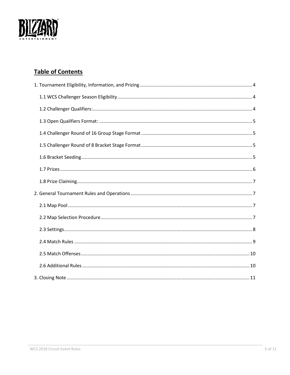

## **Table of Contents**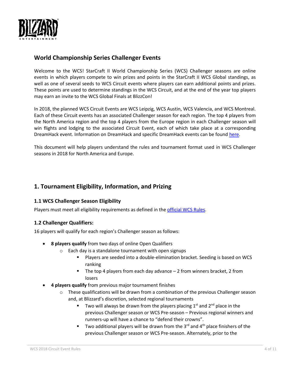

## **World Championship Series Challenger Events**

Welcome to the WCS! StarCraft II World Championship Series (WCS) Challenger seasons are online events in which players compete to win prizes and points in the StarCraft II WCS Global standings, as well as one of several seeds to WCS Circuit events where players can earn additional points and prizes. These points are used to determine standings in the WCS Circuit, and at the end of the year top players may earn an invite to the WCS Global Finals at BlizzCon!

In 2018, the planned WCS Circuit Events are WCS Leipzig, WCS Austin, WCS Valencia, and WCS Montreal. Each of these Circuit events has an associated Challenger season for each region. The top 4 players from the North America region and the top 4 players from the Europe region in each Challenger season will win flights and lodging to the associated Circuit Event, each of which take place at a corresponding DreamHack event. Information on DreamHack and specific DreamHack events can be found [here.](https://wcs.dreamhack.com/)

This document will help players understand the rules and tournament format used in WCS Challenger seasons in 2018 for North America and Europe.

## <span id="page-3-0"></span>**1. Tournament Eligibility, Information, and Prizing**

## <span id="page-3-1"></span>**1.1 WCS Challenger Season Eligibility**

Players must meet all eligibility requirements as defined in the [official WCS Rules.](https://bnetcmsus-a.akamaihd.net/cms/page_media/m5/M538872VEAGF1516242955164.pdf)

## <span id="page-3-2"></span>**1.2 Challenger Qualifiers:**

16 players will qualify for each region's Challenger season as follows:

- **8 players qualify** from two days of online Open Qualifiers
	- $\circ$  Each day is a standalone tournament with open signups
		- Players are seeded into a double-elimination bracket. Seeding is based on WCS ranking
		- **The top 4 players from each day advance 2 from winners bracket, 2 from** losers
- **4 players qualify** from previous major tournament finishes
	- $\circ$  These qualifications will be drawn from a combination of the previous Challenger season and, at Blizzard's discretion, selected regional tournaments
		- Two will always be drawn from the players placing  $1<sup>st</sup>$  and  $2<sup>nd</sup>$  place in the previous Challenger season or WCS Pre-season – Previous regional winners and runners-up will have a chance to "defend their crowns".
		- Two additional players will be drawn from the  $3<sup>rd</sup>$  and  $4<sup>th</sup>$  place finishers of the previous Challenger season or WCS Pre-season. Alternately, prior to the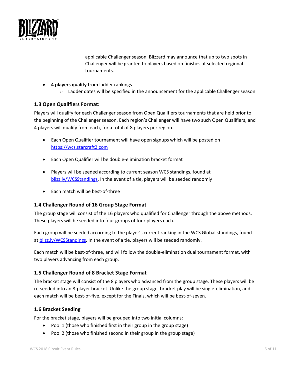

applicable Challenger season, Blizzard may announce that up to two spots in Challenger will be granted to players based on finishes at selected regional tournaments.

- **4 players qualify** from ladder rankings
	- $\circ$  Ladder dates will be specified in the announcement for the applicable Challenger season

## <span id="page-4-0"></span>**1.3 Open Qualifiers Format:**

Players will qualify for each Challenger season from Open Qualifiers tournaments that are held prior to the beginning of the Challenger season. Each region's Challenger will have two such Open Qualifiers, and 4 players will qualify from each, for a total of 8 players per region.

- Each Open Qualifier tournament will have open signups which will be posted on [https://wcs.starcraft2.com](https://wcs.starcraft2.com/)
- Each Open Qualifier will be double-elimination bracket format
- Players will be seeded according to current season WCS standings, found at [blizz.ly/WCSStandings.](http://blizz.ly/WCSStandings) In the event of a tie, players will be seeded randomly
- Each match will be best-of-three

## <span id="page-4-1"></span>**1.4 Challenger Round of 16 Group Stage Format**

The group stage will consist of the 16 players who qualified for Challenger through the above methods. These players will be seeded into four groups of four players each.

Each group will be seeded according to the player's current ranking in the WCS Global standings, found a[t blizz.ly/WCSStandings.](http://blizz.ly/WCSStandings) In the event of a tie, players will be seeded randomly.

Each match will be best-of-three, and will follow the double-elimination dual tournament format, with two players advancing from each group.

## <span id="page-4-2"></span>**1.5 Challenger Round of 8 Bracket Stage Format**

The bracket stage will consist of the 8 players who advanced from the group stage. These players will be re-seeded into an 8-player bracket. Unlike the group stage, bracket play will be single-elimination, and each match will be best-of-five, except for the Finals, which will be best-of-seven.

## <span id="page-4-3"></span>**1.6 Bracket Seeding**

For the bracket stage, players will be grouped into two initial columns:

- Pool 1 (those who finished first in their group in the group stage)
- Pool 2 (those who finished second in their group in the group stage)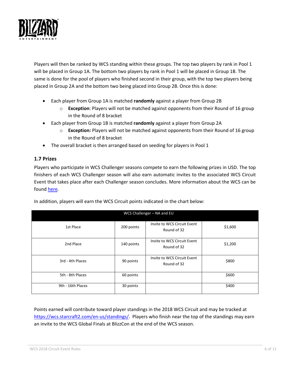

Players will then be ranked by WCS standing within these groups. The top two players by rank in Pool 1 will be placed in Group 1A. The bottom two players by rank in Pool 1 will be placed in Group 1B. The same is done for the pool of players who finished second in their group, with the top two players being placed in Group 2A and the bottom two being placed into Group 2B. Once this is done:

- Each player from Group 1A is matched **randomly** against a player from Group 2B
	- o **Exception**: Players will not be matched against opponents from their Round of 16 group in the Round of 8 bracket
- Each player from Group 1B is matched **randomly** against a player from Group 2A
	- o **Exception:** Players will not be matched against opponents from their Round of 16 group in the Round of 8 bracket
- The overall bracket is then arranged based on seeding for players in Pool 1

## <span id="page-5-0"></span>**1.7 Prizes**

Players who participate in WCS Challenger seasons compete to earn the following prizes in USD. The top finishers of each WCS Challenger season will also earn automatic invites to the associated WCS Circuit Event that takes place after each Challenger season concludes. More information about the WCS can be found [here.](https://wcs.starcraft2.com/en-us/about/)

| WCS Challenger - NA and EU |            |                                            |         |  |
|----------------------------|------------|--------------------------------------------|---------|--|
| 1st Place                  | 200 points | Invite to WCS Circuit Event<br>Round of 32 | \$1,600 |  |
| 2nd Place                  | 140 points | Invite to WCS Circuit Event<br>Round of 32 | \$1,200 |  |
| 3rd - 4th Places           | 90 points  | Invite to WCS Circuit Event<br>Round of 32 | \$800   |  |
| 5th - 8th Places           | 60 points  |                                            | \$600   |  |
| 9th - 16th Places          | 30 points  |                                            | \$400   |  |

In addition, players will earn the WCS Circuit points indicated in the chart below:

Points earned will contribute toward player standings in the 2018 WCS Circuit and may be tracked at [https://wcs.starcraft2.com/en-us/standings/.](https://wcs.starcraft2.com/en-us/standings/) Players who finish near the top of the standings may earn an invite to the WCS Global Finals at BlizzCon at the end of the WCS season.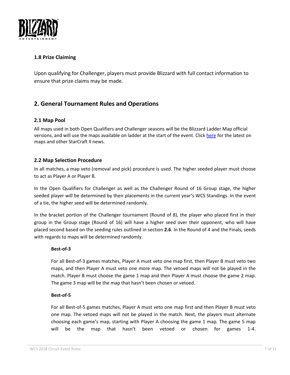

## <span id="page-6-0"></span>**1.8 Prize Claiming**

Upon qualifying for Challenger, players must provide Blizzard with full contact information to ensure that prize claims may be made.

## <span id="page-6-1"></span>**2. General Tournament Rules and Operations**

## <span id="page-6-2"></span>**2.1 Map Pool**

All maps used in both Open Qualifiers and Challenger seasons will be the Blizzard Ladder Map official versions, and will use the maps available on ladder at the start of the event. Clic[k here](https://starcraft2.com/en-us/news) for the latest on maps and other StarCraft II news.

## <span id="page-6-3"></span>**2.2 Map Selection Procedure**

In all matches, a map veto (removal and pick) procedure is used. The higher seeded player must choose to act as Player A or Player B.

In the Open Qualifiers for Challenger as well as the Challenger Round of 16 Group stage, the higher seeded player will be determined by their placements in the current year's WCS Standings. In the event of a tie, the higher seed will be determined randomly.

In the bracket portion of the Challenger tournament (Round of 8), the player who placed first in their group in the Group stage (Round of 16) will have a higher seed over their opponent, who will have placed second based on the seeding rules outlined in section **2.6**. In the Round of 4 and the Finals, seeds with regards to maps will be determined randomly.

## **Best-of-3**

For all Best-of-3 games matches, Player A must veto one map first, then Player B must veto two maps, and then Player A must veto one more map. The vetoed maps will not be played in the match. Player B must choose the game 1 map and then Player A must choose the game 2 map. The game 3 map will be the map that hasn't been chosen or vetoed.

#### **Best-of-5**

For all Best-of-5 games matches, Player A must veto one map first and then Player B must veto one map. The vetoed maps will not be played in the match. Next, the players must alternate choosing each game's map, starting with Player A choosing the game 1 map. The game 5 map will be the map that hasn't been vetoed or chosen for games 1-4.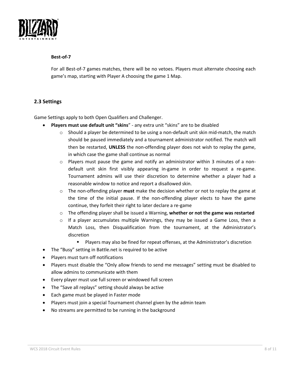

#### **Best-of-7**

For all Best-of-7 games matches, there will be no vetoes. Players must alternate choosing each game's map, starting with Player A choosing the game 1 Map.

## <span id="page-7-0"></span>**2.3 Settings**

Game Settings apply to both Open Qualifiers and Challenger.

- **Players must use default unit "skins**" any extra unit "skins" are to be disabled
	- $\circ$  Should a player be determined to be using a non-default unit skin mid-match, the match should be paused immediately and a tournament administrator notified. The match will then be restarted, **UNLESS** the non-offending player does not wish to replay the game, in which case the game shall continue as normal
	- $\circ$  Players must pause the game and notify an administrator within 3 minutes of a nondefault unit skin first visibly appearing in-game in order to request a re-game. Tournament admins will use their discretion to determine whether a player had a reasonable window to notice and report a disallowed skin.
	- o The non-offending player **must** make the decision whether or not to replay the game at the time of the initial pause. If the non-offending player elects to have the game continue, they forfeit their right to later declare a re-game
	- o The offending player shall be issued a Warning, **whether or not the game was restarted**
	- $\circ$  If a player accumulates multiple Warnings, they may be issued a Game Loss, then a Match Loss, then Disqualification from the tournament, at the Administrator's discretion
		- Players may also be fined for repeat offenses, at the Administrator's discretion
- The "Busy" setting in Battle.net is required to be active
- Players must turn off notifications
- Players must disable the "Only allow friends to send me messages" setting must be disabled to allow admins to communicate with them
- Every player must use full screen or windowed full screen
- The "Save all replays" setting should always be active
- Each game must be played in Faster mode
- Players must join a special Tournament channel given by the admin team
- No streams are permitted to be running in the background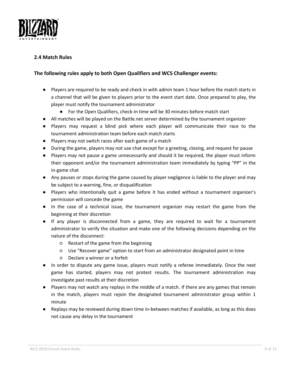

## <span id="page-8-0"></span>**2.4 Match Rules**

## **The following rules apply to both Open Qualifiers and WCS Challenger events:**

- Players are required to be ready and check in with admin team 1 hour before the match starts in a channel that will be given to players prior to the event start date. Once prepared to play, the player must notify the tournament administrator
	- For the Open Qualifiers, check-in time will be 30 minutes before match start
- All matches will be played on the Battle.net server determined by the tournament organizer
- Players may request a blind pick where each player will communicate their race to the tournament administration team before each match starts
- Players may not switch races after each game of a match
- During the game, players may not use chat except for a greeting, closing, and request for pause
- Players may not pause a game unnecessarily and should it be required, the player must inform their opponent and/or the tournament administration team immediately by typing "PP" in the in-game chat
- Any pauses or stops during the game caused by player negligence is liable to the player and may be subject to a warning, fine, or disqualification
- Players who intentionally quit a game before it has ended without a tournament organizer's permission will concede the game
- In the case of a technical issue, the tournament organizer may restart the game from the beginning at their discretion
- If any player is disconnected from a game, they are required to wait for a tournament administrator to verify the situation and make one of the following decisions depending on the nature of the disconnect:
	- Restart of the game from the beginning
	- Use "Recover game" option to start from an administrator designated point in time
	- Declare a winner or a forfeit
- In order to dispute any game issue, players must notify a referee immediately. Once the next game has started, players may not protest results. The tournament administration may investigate past results at their discretion
- Players may not watch any replays in the middle of a match. If there are any games that remain in the match, players must rejoin the designated tournament administrator group within 1 minute
- Replays may be reviewed during down time in-between matches if available, as long as this does not cause any delay in the tournament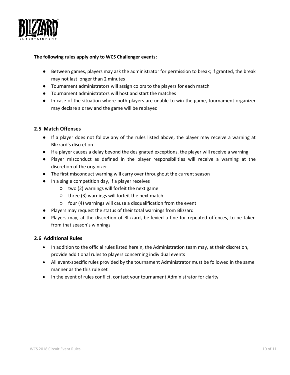

#### **The following rules apply only to WCS Challenger events:**

- Between games, players may ask the administrator for permission to break; if granted, the break may not last longer than 2 minutes
- Tournament administrators will assign colors to the players for each match
- Tournament administrators will host and start the matches
- In case of the situation where both players are unable to win the game, tournament organizer may declare a draw and the game will be replayed

## <span id="page-9-0"></span>**2.5 Match Offenses**

- If a player does not follow any of the rules listed above, the player may receive a warning at Blizzard's discretion
- If a player causes a delay beyond the designated exceptions, the player will receive a warning
- Player misconduct as defined in the player responsibilities will receive a warning at the discretion of the organizer
- The first misconduct warning will carry over throughout the current season
- In a single competition day, if a player receives
	- two (2) warnings will forfeit the next game
	- three (3) warnings will forfeit the next match
	- four (4) warnings will cause a disqualification from the event
- Players may request the status of their total warnings from Blizzard
- Players may, at the discretion of Blizzard, be levied a fine for repeated offences, to be taken from that season's winnings

## <span id="page-9-1"></span>**2.6 Additional Rules**

- In addition to the official rules listed herein, the Administration team may, at their discretion, provide additional rules to players concerning individual events
- All event-specific rules provided by the tournament Administrator must be followed in the same manner as the this rule set
- In the event of rules conflict, contact your tournament Administrator for clarity